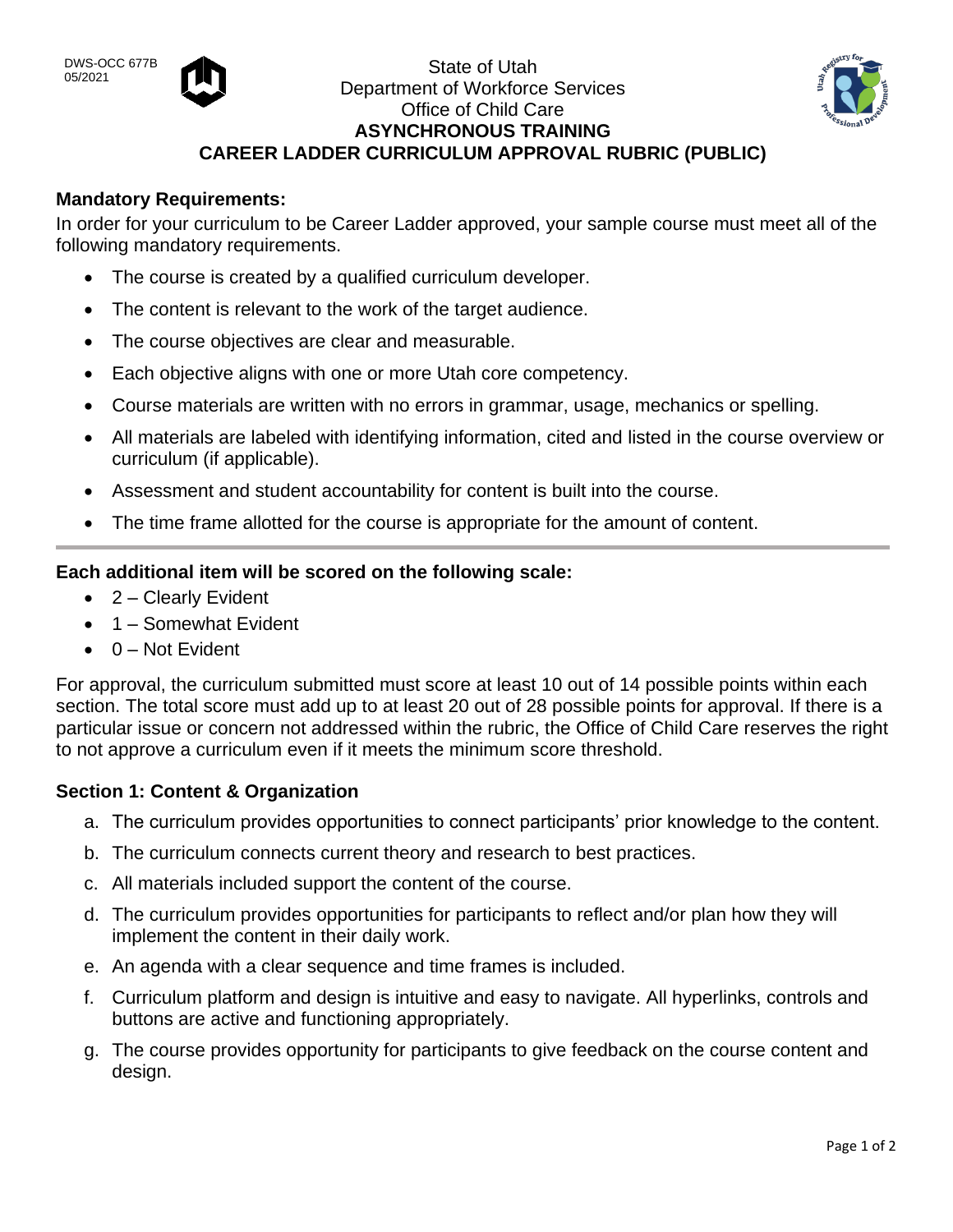

# State of Utah Department of Workforce Services Office of Child Care **ASYNCHRONOUS TRAINING CAREER LADDER CURRICULUM APPROVAL RUBRIC (PUBLIC)**



## **Mandatory Requirements:**

In order for your curriculum to be Career Ladder approved, your sample course must meet all of the following mandatory requirements.

- The course is created by a qualified curriculum developer.
- The content is relevant to the work of the target audience.
- The course objectives are clear and measurable.
- Each objective aligns with one or more Utah core competency.
- Course materials are written with no errors in grammar, usage, mechanics or spelling.
- All materials are labeled with identifying information, cited and listed in the course overview or curriculum (if applicable).
- Assessment and student accountability for content is built into the course.
- The time frame allotted for the course is appropriate for the amount of content.

## **Each additional item will be scored on the following scale:**

- 2 Clearly Evident
- 1 Somewhat Evident
- $\bullet$  0 Not Evident

For approval, the curriculum submitted must score at least 10 out of 14 possible points within each section. The total score must add up to at least 20 out of 28 possible points for approval. If there is a particular issue or concern not addressed within the rubric, the Office of Child Care reserves the right to not approve a curriculum even if it meets the minimum score threshold.

### **Section 1: Content & Organization**

- a. The curriculum provides opportunities to connect participants' prior knowledge to the content.
- b. The curriculum connects current theory and research to best practices.
- c. All materials included support the content of the course.
- d. The curriculum provides opportunities for participants to reflect and/or plan how they will implement the content in their daily work.
- e. An agenda with a clear sequence and time frames is included.
- f. Curriculum platform and design is intuitive and easy to navigate. All hyperlinks, controls and buttons are active and functioning appropriately.
- g. The course provides opportunity for participants to give feedback on the course content and design.